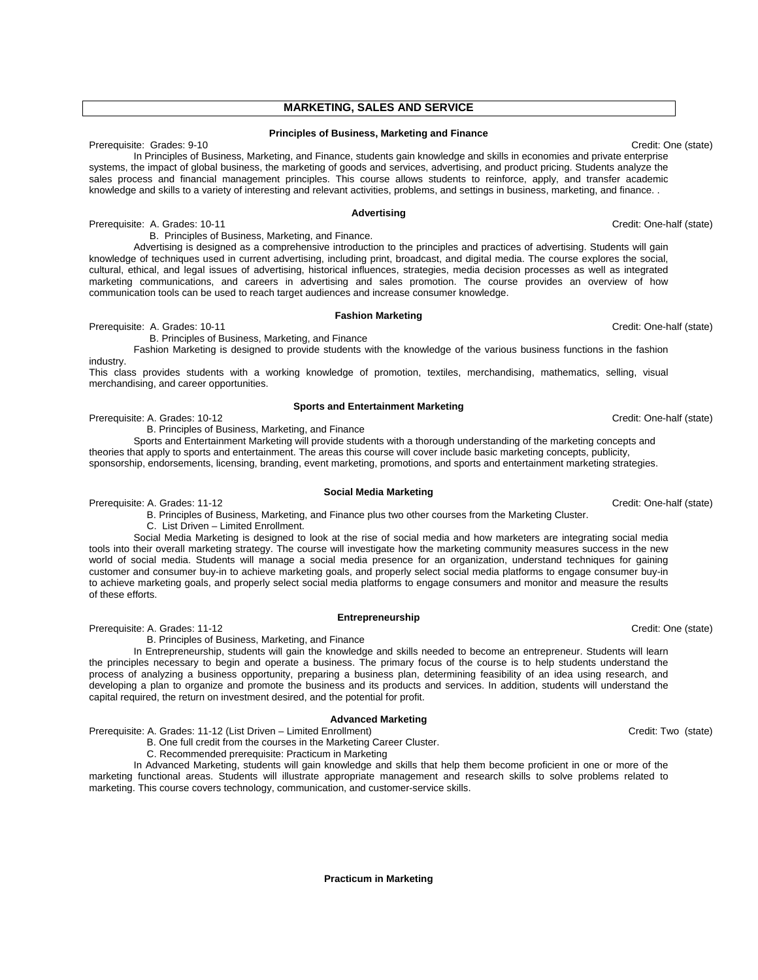# **MARKETING, SALES AND SERVICE**

#### **Principles of Business, Marketing and Finance**

Prerequisite: Grades: 9-10 Credit: One (state) In Principles of Business, Marketing, and Finance, students gain knowledge and skills in economies and private enterprise systems, the impact of global business, the marketing of goods and services, advertising, and product pricing. Students analyze the sales process and financial management principles. This course allows students to reinforce, apply, and transfer academic knowledge and skills to a variety of interesting and relevant activities, problems, and settings in business, marketing, and finance. .

## **Advertising**

Prerequisite: A. Grades: 10-11 Credit: One-half (state)

B. Principles of Business, Marketing, and Finance.

 Advertising is designed as a comprehensive introduction to the principles and practices of advertising. Students will gain knowledge of techniques used in current advertising, including print, broadcast, and digital media. The course explores the social, cultural, ethical, and legal issues of advertising, historical influences, strategies, media decision processes as well as integrated marketing communications, and careers in advertising and sales promotion. The course provides an overview of how communication tools can be used to reach target audiences and increase consumer knowledge.

#### **Fashion Marketing**

Prerequisite: A. Grades: 10-11 Credit: One-half (state)

B. Principles of Business, Marketing, and Finance

 Fashion Marketing is designed to provide students with the knowledge of the various business functions in the fashion industry.

This class provides students with a working knowledge of promotion, textiles, merchandising, mathematics, selling, visual merchandising, and career opportunities.

#### **Sports and Entertainment Marketing**

Prerequisite: A. Grades: 10-12 Credit: One-half (state)

B. Principles of Business, Marketing, and Finance

 Sports and Entertainment Marketing will provide students with a thorough understanding of the marketing concepts and theories that apply to sports and entertainment. The areas this course will cover include basic marketing concepts, publicity, sponsorship, endorsements, licensing, branding, event marketing, promotions, and sports and entertainment marketing strategies.

#### **Social Media Marketing**

Prerequisite: A. Grades: 11-12 Credit: One-half (state)

B. Principles of Business, Marketing, and Finance plus two other courses from the Marketing Cluster.

C. List Driven – Limited Enrollment.

 Social Media Marketing is designed to look at the rise of social media and how marketers are integrating social media tools into their overall marketing strategy. The course will investigate how the marketing community measures success in the new world of social media. Students will manage a social media presence for an organization, understand techniques for gaining customer and consumer buy-in to achieve marketing goals, and properly select social media platforms to engage consumer buy-in to achieve marketing goals, and properly select social media platforms to engage consumers and monitor and measure the results of these efforts.

**Entrepreneurship**

Prerequisite: A. Grades: 11-12 Credit: One (state) B. Principles of Business, Marketing, and Finance

 In Entrepreneurship, students will gain the knowledge and skills needed to become an entrepreneur. Students will learn the principles necessary to begin and operate a business. The primary focus of the course is to help students understand the process of analyzing a business opportunity, preparing a business plan, determining feasibility of an idea using research, and developing a plan to organize and promote the business and its products and services. In addition, students will understand the capital required, the return on investment desired, and the potential for profit.

### **Advanced Marketing**

Prerequisite: A. Grades: 11-12 (List Driven – Limited Enrollment) Credit: Two (state) Credit: Two (state)

- B. One full credit from the courses in the Marketing Career Cluster.
- C. Recommended prerequisite: Practicum in Marketing

In Advanced Marketing, students will gain knowledge and skills that help them become proficient in one or more of the marketing functional areas. Students will illustrate appropriate management and research skills to solve problems related to marketing. This course covers technology, communication, and customer-service skills.

**Practicum in Marketing**